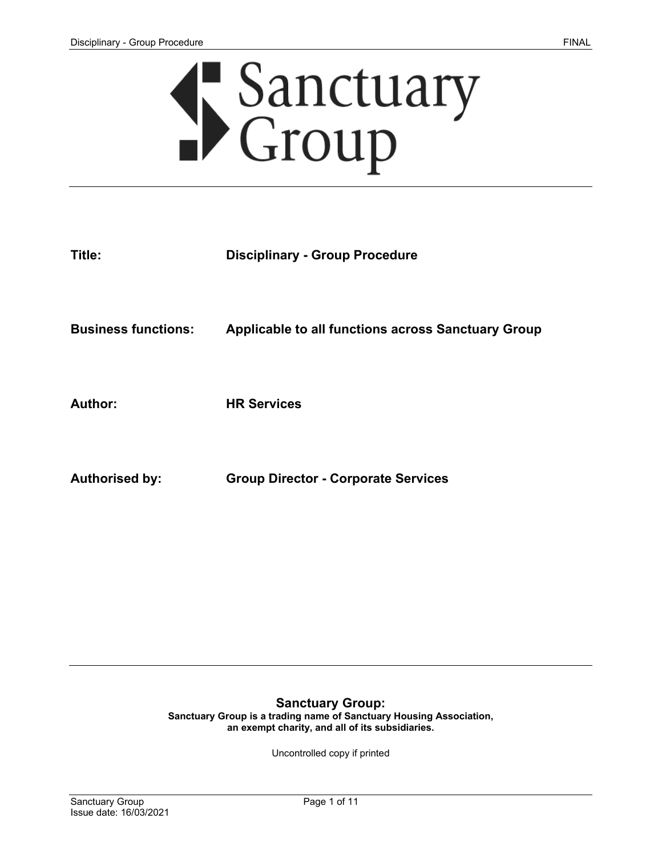

| Title:                     | <b>Disciplinary - Group Procedure</b>                     |
|----------------------------|-----------------------------------------------------------|
| <b>Business functions:</b> | <b>Applicable to all functions across Sanctuary Group</b> |
| <b>Author:</b>             | <b>HR Services</b>                                        |
| <b>Authorised by:</b>      | <b>Group Director - Corporate Services</b>                |

#### **Sanctuary Group:**

**Sanctuary Group is a trading name of Sanctuary Housing Association, an exempt charity, and all of its subsidiaries.** 

Uncontrolled copy if printed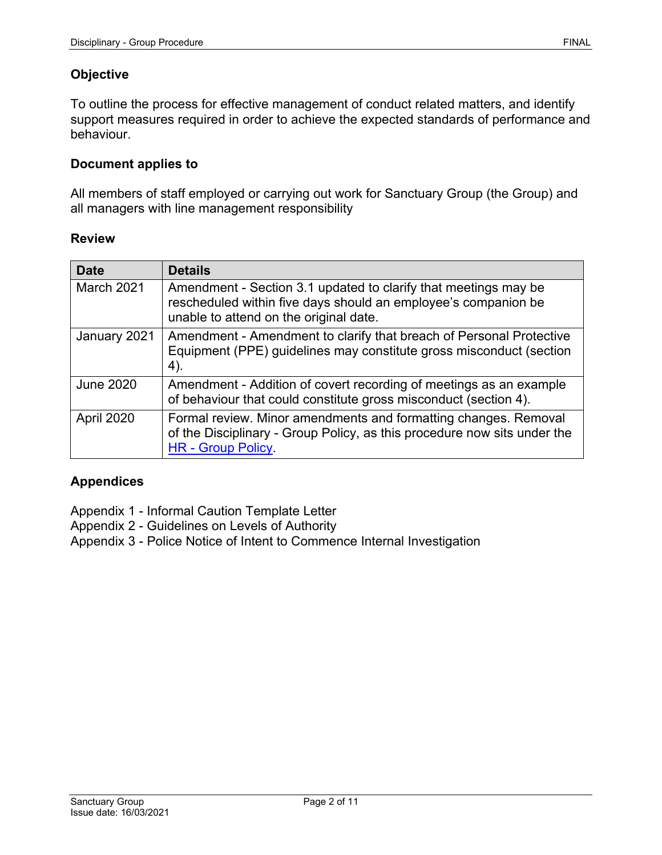# **Objective**

To outline the process for effective management of conduct related matters, and identify support measures required in order to achieve the expected standards of performance and behaviour.

#### **Document applies to**

All members of staff employed or carrying out work for Sanctuary Group (the Group) and all managers with line management responsibility

#### **Review**

| <b>Date</b>      | <b>Details</b>                                                                                                                                                              |
|------------------|-----------------------------------------------------------------------------------------------------------------------------------------------------------------------------|
| March 2021       | Amendment - Section 3.1 updated to clarify that meetings may be<br>rescheduled within five days should an employee's companion be<br>unable to attend on the original date. |
| January 2021     | Amendment - Amendment to clarify that breach of Personal Protective<br>Equipment (PPE) guidelines may constitute gross misconduct (section<br>4).                           |
| <b>June 2020</b> | Amendment - Addition of covert recording of meetings as an example<br>of behaviour that could constitute gross misconduct (section 4).                                      |
| April 2020       | Formal review. Minor amendments and formatting changes. Removal<br>of the Disciplinary - Group Policy, as this procedure now sits under the<br><b>HR</b> - Group Policy     |

### **Appendices**

Appendix 1 - Informal Caution Template Letter

Appendix 2 - Guidelines on Levels of Authority

Appendix 3 - Police Notice of Intent to Commence Internal Investigation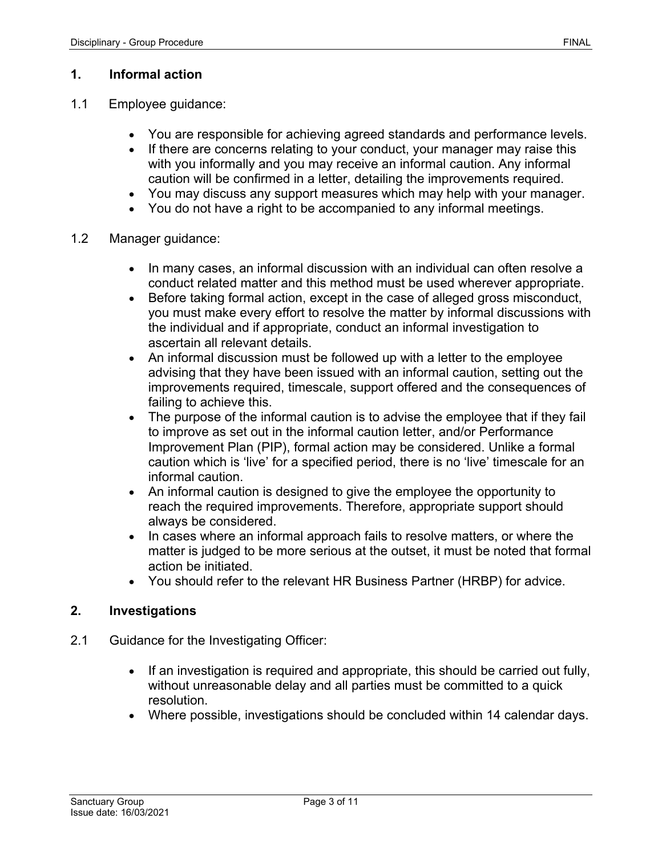### **1. Informal action**

- 1.1 Employee guidance:
	- You are responsible for achieving agreed standards and performance levels.
	- If there are concerns relating to your conduct, your manager may raise this with you informally and you may receive an informal caution. Any informal caution will be confirmed in a letter, detailing the improvements required.
	- You may discuss any support measures which may help with your manager.
	- You do not have a right to be accompanied to any informal meetings.
- 1.2 Manager guidance:
	- In many cases, an informal discussion with an individual can often resolve a conduct related matter and this method must be used wherever appropriate.
	- Before taking formal action, except in the case of alleged gross misconduct, you must make every effort to resolve the matter by informal discussions with the individual and if appropriate, conduct an informal investigation to ascertain all relevant details.
	- An informal discussion must be followed up with a letter to the employee advising that they have been issued with an informal caution, setting out the improvements required, timescale, support offered and the consequences of failing to achieve this.
	- The purpose of the informal caution is to advise the employee that if they fail to improve as set out in the informal caution letter, and/or Performance Improvement Plan (PIP), formal action may be considered. Unlike a formal caution which is 'live' for a specified period, there is no 'live' timescale for an informal caution.
	- An informal caution is designed to give the employee the opportunity to reach the required improvements. Therefore, appropriate support should always be considered.
	- In cases where an informal approach fails to resolve matters, or where the matter is judged to be more serious at the outset, it must be noted that formal action be initiated.
	- You should refer to the relevant HR Business Partner (HRBP) for advice.

### **2. Investigations**

- 2.1 Guidance for the Investigating Officer:
	- If an investigation is required and appropriate, this should be carried out fully, without unreasonable delay and all parties must be committed to a quick resolution.
	- Where possible, investigations should be concluded within 14 calendar days.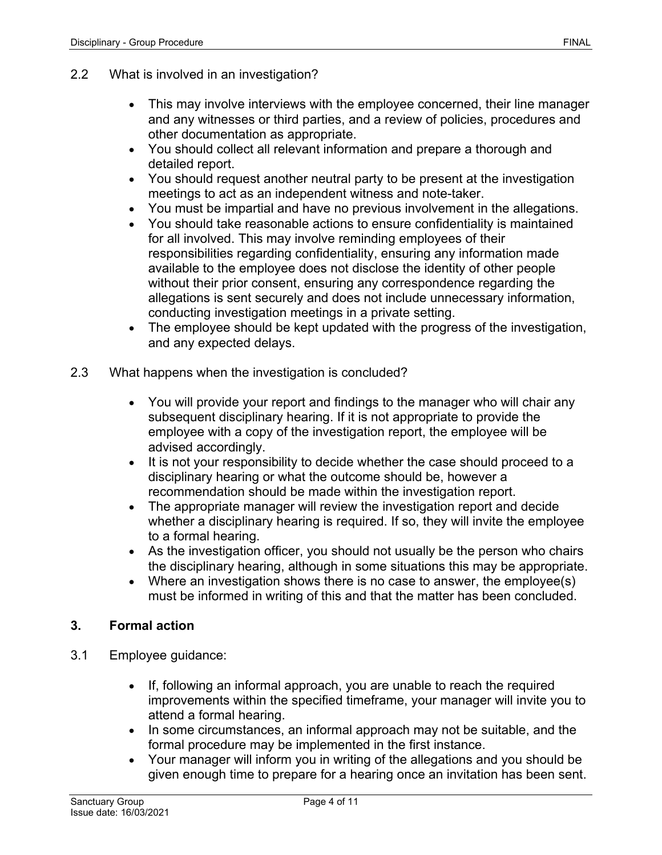- This may involve interviews with the employee concerned, their line manager and any witnesses or third parties, and a review of policies, procedures and other documentation as appropriate.
- You should collect all relevant information and prepare a thorough and detailed report.
- You should request another neutral party to be present at the investigation meetings to act as an independent witness and note-taker.
- You must be impartial and have no previous involvement in the allegations.
- You should take reasonable actions to ensure confidentiality is maintained for all involved. This may involve reminding employees of their responsibilities regarding confidentiality, ensuring any information made available to the employee does not disclose the identity of other people without their prior consent, ensuring any correspondence regarding the allegations is sent securely and does not include unnecessary information, conducting investigation meetings in a private setting.
- The employee should be kept updated with the progress of the investigation, and any expected delays.
- 2.3 What happens when the investigation is concluded?
	- You will provide your report and findings to the manager who will chair any subsequent disciplinary hearing. If it is not appropriate to provide the employee with a copy of the investigation report, the employee will be advised accordingly.
	- It is not your responsibility to decide whether the case should proceed to a disciplinary hearing or what the outcome should be, however a recommendation should be made within the investigation report.
	- The appropriate manager will review the investigation report and decide whether a disciplinary hearing is required. If so, they will invite the employee to a formal hearing.
	- As the investigation officer, you should not usually be the person who chairs the disciplinary hearing, although in some situations this may be appropriate.
	- Where an investigation shows there is no case to answer, the employee(s) must be informed in writing of this and that the matter has been concluded.

## **3. Formal action**

- 3.1 Employee guidance:
	- If, following an informal approach, you are unable to reach the required improvements within the specified timeframe, your manager will invite you to attend a formal hearing.
	- In some circumstances, an informal approach may not be suitable, and the formal procedure may be implemented in the first instance.
	- Your manager will inform you in writing of the allegations and you should be given enough time to prepare for a hearing once an invitation has been sent.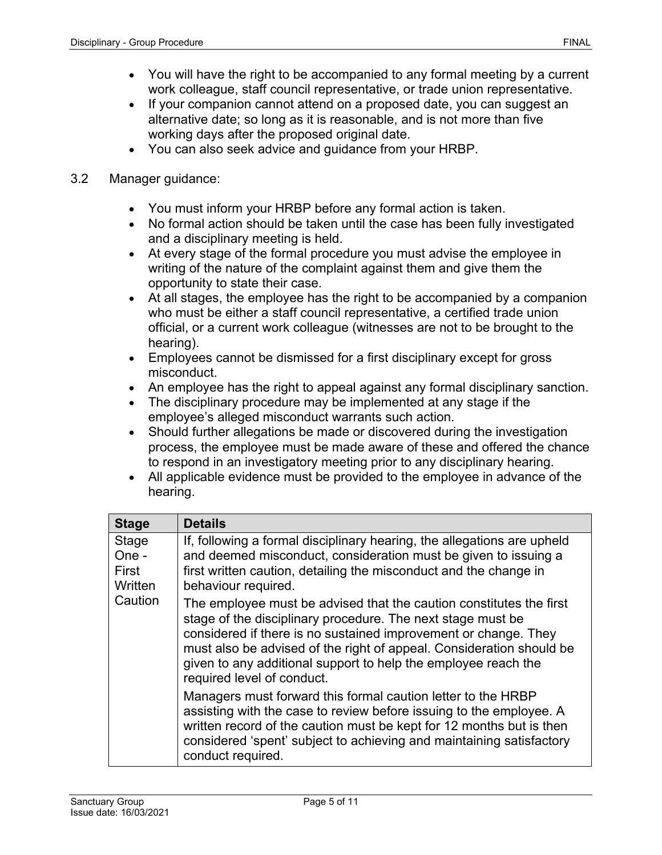- You will have the right to be accompanied to any formal meeting by a current work colleague, staff council representative, or trade union representative.
- If your companion cannot attend on a proposed date, you can suggest an alternative date; so long as it is reasonable, and is not more than five working days after the proposed original date.
- You can also seek advice and guidance from your HRBP.

### 3.2 Manager guidance:

- You must inform your HRBP before any formal action is taken.
- No formal action should be taken until the case has been fully investigated and a disciplinary meeting is held.
- At every stage of the formal procedure you must advise the employee in writing of the nature of the complaint against them and give them the opportunity to state their case.
- At all stages, the employee has the right to be accompanied by a companion who must be either a staff council representative, a certified trade union official, or a current work colleague (witnesses are not to be brought to the hearing).
- Employees cannot be dismissed for a first disciplinary except for gross misconduct.
- An employee has the right to appeal against any formal disciplinary sanction.
- The disciplinary procedure may be implemented at any stage if the employee's alleged misconduct warrants such action.
- Should further allegations be made or discovered during the investigation process, the employee must be made aware of these and offered the chance to respond in an investigatory meeting prior to any disciplinary hearing.
- All applicable evidence must be provided to the employee in advance of the hearing.

| <b>Stage</b>                                  | <b>Details</b>                                                                                                                                                                                                                                                                                                                                                                |
|-----------------------------------------------|-------------------------------------------------------------------------------------------------------------------------------------------------------------------------------------------------------------------------------------------------------------------------------------------------------------------------------------------------------------------------------|
| Stage<br>One -<br>First<br>Written<br>Caution | If, following a formal disciplinary hearing, the allegations are upheld<br>and deemed misconduct, consideration must be given to issuing a<br>first written caution, detailing the misconduct and the change in<br>behaviour required.                                                                                                                                        |
|                                               | The employee must be advised that the caution constitutes the first<br>stage of the disciplinary procedure. The next stage must be<br>considered if there is no sustained improvement or change. They<br>must also be advised of the right of appeal. Consideration should be<br>given to any additional support to help the employee reach the<br>required level of conduct. |
|                                               | Managers must forward this formal caution letter to the HRBP<br>assisting with the case to review before issuing to the employee. A<br>written record of the caution must be kept for 12 months but is then<br>considered 'spent' subject to achieving and maintaining satisfactory<br>conduct required.                                                                      |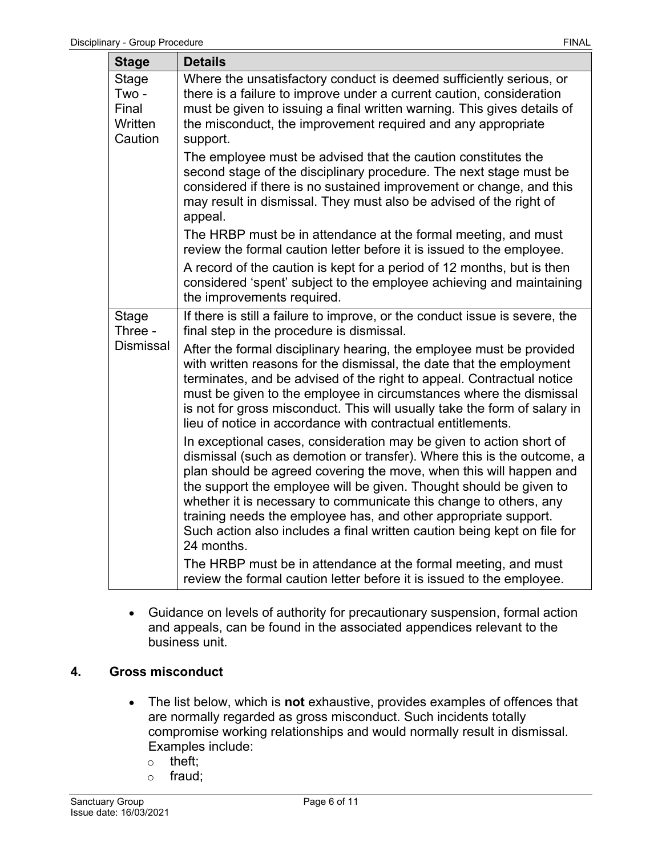| <b>Stage</b>                                         | <b>Details</b>                                                                                                                                                                                                                                                                                                                                                                                                                                                                                                              |
|------------------------------------------------------|-----------------------------------------------------------------------------------------------------------------------------------------------------------------------------------------------------------------------------------------------------------------------------------------------------------------------------------------------------------------------------------------------------------------------------------------------------------------------------------------------------------------------------|
| <b>Stage</b><br>Two -<br>Final<br>Written<br>Caution | Where the unsatisfactory conduct is deemed sufficiently serious, or<br>there is a failure to improve under a current caution, consideration<br>must be given to issuing a final written warning. This gives details of<br>the misconduct, the improvement required and any appropriate<br>support.                                                                                                                                                                                                                          |
|                                                      | The employee must be advised that the caution constitutes the<br>second stage of the disciplinary procedure. The next stage must be<br>considered if there is no sustained improvement or change, and this<br>may result in dismissal. They must also be advised of the right of<br>appeal.                                                                                                                                                                                                                                 |
|                                                      | The HRBP must be in attendance at the formal meeting, and must<br>review the formal caution letter before it is issued to the employee.                                                                                                                                                                                                                                                                                                                                                                                     |
|                                                      | A record of the caution is kept for a period of 12 months, but is then<br>considered 'spent' subject to the employee achieving and maintaining<br>the improvements required.                                                                                                                                                                                                                                                                                                                                                |
| Stage<br>Three -                                     | If there is still a failure to improve, or the conduct issue is severe, the<br>final step in the procedure is dismissal.                                                                                                                                                                                                                                                                                                                                                                                                    |
| <b>Dismissal</b>                                     | After the formal disciplinary hearing, the employee must be provided<br>with written reasons for the dismissal, the date that the employment<br>terminates, and be advised of the right to appeal. Contractual notice<br>must be given to the employee in circumstances where the dismissal<br>is not for gross misconduct. This will usually take the form of salary in<br>lieu of notice in accordance with contractual entitlements.                                                                                     |
|                                                      | In exceptional cases, consideration may be given to action short of<br>dismissal (such as demotion or transfer). Where this is the outcome, a<br>plan should be agreed covering the move, when this will happen and<br>the support the employee will be given. Thought should be given to<br>whether it is necessary to communicate this change to others, any<br>training needs the employee has, and other appropriate support.<br>Such action also includes a final written caution being kept on file for<br>24 months. |
|                                                      | The HRBP must be in attendance at the formal meeting, and must<br>review the formal caution letter before it is issued to the employee.                                                                                                                                                                                                                                                                                                                                                                                     |

• Guidance on levels of authority for precautionary suspension, formal action and appeals, can be found in the associated appendices relevant to the business unit.

### **4. Gross misconduct**

- The list below, which is **not** exhaustive, provides examples of offences that are normally regarded as gross misconduct. Such incidents totally compromise working relationships and would normally result in dismissal. Examples include:
	- o theft;
	- o fraud;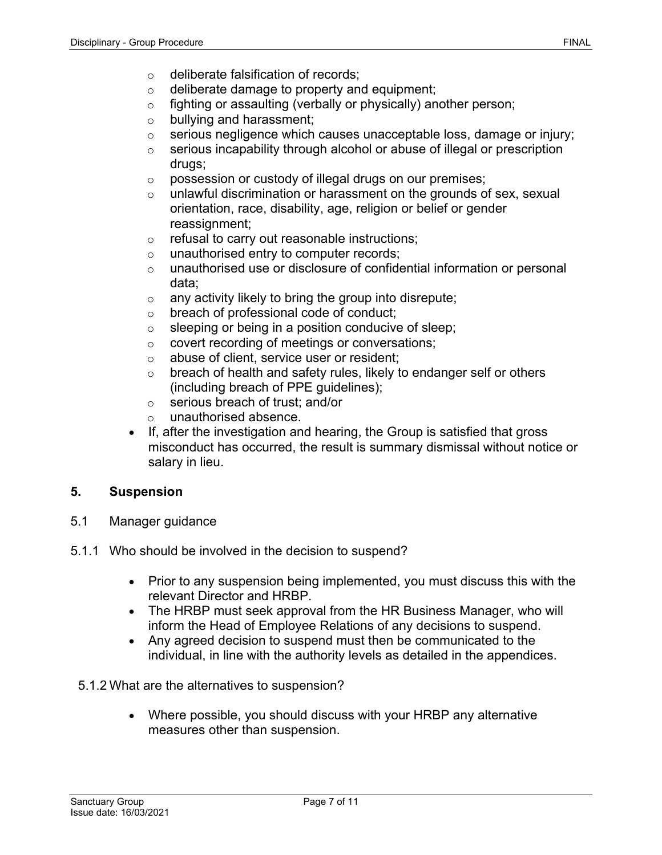- o deliberate falsification of records;
- o deliberate damage to property and equipment;
- o fighting or assaulting (verbally or physically) another person;
- o bullying and harassment;
- o serious negligence which causes unacceptable loss, damage or injury;
- o serious incapability through alcohol or abuse of illegal or prescription drugs;
- o possession or custody of illegal drugs on our premises;
- $\circ$  unlawful discrimination or harassment on the grounds of sex, sexual orientation, race, disability, age, religion or belief or gender reassignment;
- o refusal to carry out reasonable instructions;
- o unauthorised entry to computer records;
- o unauthorised use or disclosure of confidential information or personal data;
- $\circ$  any activity likely to bring the group into disrepute;
- o breach of professional code of conduct;
- $\circ$  sleeping or being in a position conducive of sleep;
- o covert recording of meetings or conversations;
- o abuse of client, service user or resident;
- $\circ$  breach of health and safety rules, likely to endanger self or others (including breach of PPE guidelines);
- o serious breach of trust; and/or
- o unauthorised absence.
- If, after the investigation and hearing, the Group is satisfied that gross misconduct has occurred, the result is summary dismissal without notice or salary in lieu.

### **5. Suspension**

- 5.1 Manager guidance
- 5.1.1 Who should be involved in the decision to suspend?
	- Prior to any suspension being implemented, you must discuss this with the relevant Director and HRBP.
	- The HRBP must seek approval from the HR Business Manager, who will inform the Head of Employee Relations of any decisions to suspend.
	- Any agreed decision to suspend must then be communicated to the individual, in line with the authority levels as detailed in the appendices.

#### 5.1.2 What are the alternatives to suspension?

• Where possible, you should discuss with your HRBP any alternative measures other than suspension.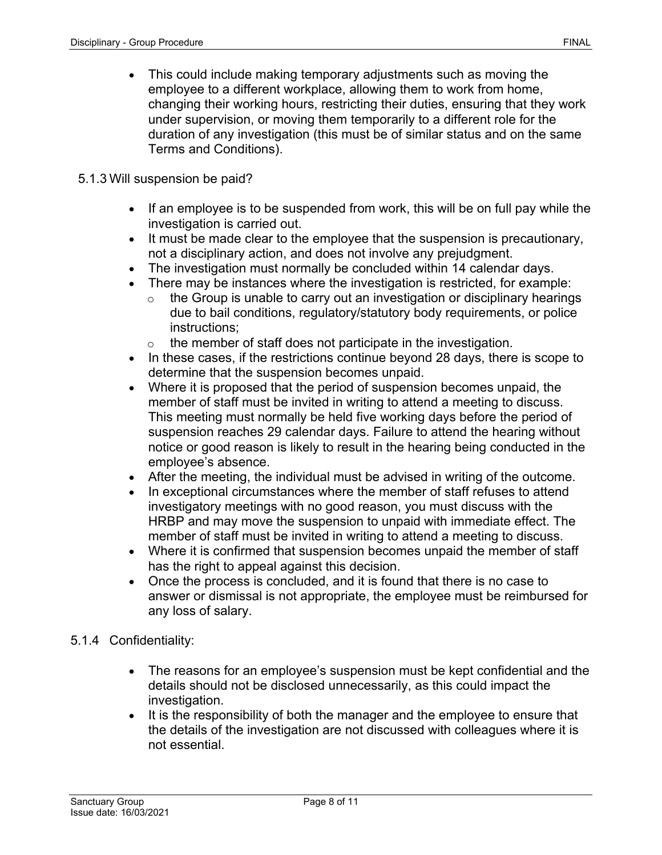• This could include making temporary adjustments such as moving the employee to a different workplace, allowing them to work from home, changing their working hours, restricting their duties, ensuring that they work under supervision, or moving them temporarily to a different role for the duration of any investigation (this must be of similar status and on the same Terms and Conditions).

### 5.1.3 Will suspension be paid?

- If an employee is to be suspended from work, this will be on full pay while the investigation is carried out.
- It must be made clear to the employee that the suspension is precautionary, not a disciplinary action, and does not involve any prejudgment.
- The investigation must normally be concluded within 14 calendar days.
- There may be instances where the investigation is restricted, for example:
	- $\circ$  the Group is unable to carry out an investigation or disciplinary hearings due to bail conditions, regulatory/statutory body requirements, or police instructions;
	- $\circ$  the member of staff does not participate in the investigation.
- In these cases, if the restrictions continue beyond 28 days, there is scope to determine that the suspension becomes unpaid.
- Where it is proposed that the period of suspension becomes unpaid, the member of staff must be invited in writing to attend a meeting to discuss. This meeting must normally be held five working days before the period of suspension reaches 29 calendar days. Failure to attend the hearing without notice or good reason is likely to result in the hearing being conducted in the employee's absence.
- After the meeting, the individual must be advised in writing of the outcome.
- In exceptional circumstances where the member of staff refuses to attend investigatory meetings with no good reason, you must discuss with the HRBP and may move the suspension to unpaid with immediate effect. The member of staff must be invited in writing to attend a meeting to discuss.
- Where it is confirmed that suspension becomes unpaid the member of staff has the right to appeal against this decision.
- Once the process is concluded, and it is found that there is no case to answer or dismissal is not appropriate, the employee must be reimbursed for any loss of salary.

### 5.1.4 Confidentiality:

- The reasons for an employee's suspension must be kept confidential and the details should not be disclosed unnecessarily, as this could impact the investigation.
- It is the responsibility of both the manager and the employee to ensure that the details of the investigation are not discussed with colleagues where it is not essential.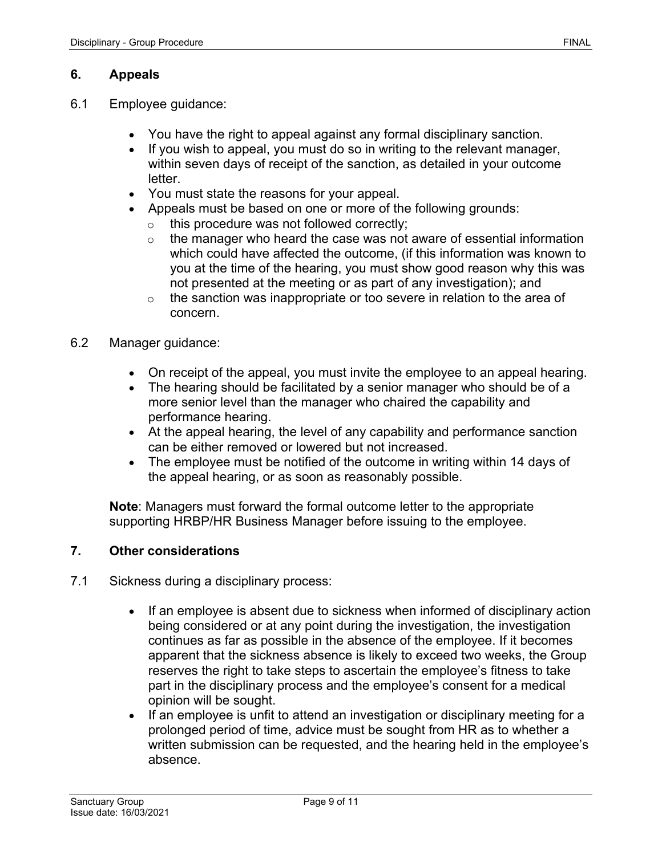## **6. Appeals**

- 6.1 Employee guidance:
	- You have the right to appeal against any formal disciplinary sanction.
	- If you wish to appeal, you must do so in writing to the relevant manager, within seven days of receipt of the sanction, as detailed in your outcome letter.
	- You must state the reasons for your appeal.
	- Appeals must be based on one or more of the following grounds:
		- $\overline{\circ}$  this procedure was not followed correctly;
		- $\circ$  the manager who heard the case was not aware of essential information which could have affected the outcome, (if this information was known to you at the time of the hearing, you must show good reason why this was not presented at the meeting or as part of any investigation); and
		- $\circ$  the sanction was inappropriate or too severe in relation to the area of concern.
- 6.2 Manager guidance:
	- On receipt of the appeal, you must invite the employee to an appeal hearing.
	- The hearing should be facilitated by a senior manager who should be of a more senior level than the manager who chaired the capability and performance hearing.
	- At the appeal hearing, the level of any capability and performance sanction can be either removed or lowered but not increased.
	- The employee must be notified of the outcome in writing within 14 days of the appeal hearing, or as soon as reasonably possible.

**Note**: Managers must forward the formal outcome letter to the appropriate supporting HRBP/HR Business Manager before issuing to the employee.

### **7. Other considerations**

- 7.1 Sickness during a disciplinary process:
	- If an employee is absent due to sickness when informed of disciplinary action being considered or at any point during the investigation, the investigation continues as far as possible in the absence of the employee. If it becomes apparent that the sickness absence is likely to exceed two weeks, the Group reserves the right to take steps to ascertain the employee's fitness to take part in the disciplinary process and the employee's consent for a medical opinion will be sought.
	- If an employee is unfit to attend an investigation or disciplinary meeting for a prolonged period of time, advice must be sought from HR as to whether a written submission can be requested, and the hearing held in the employee's absence.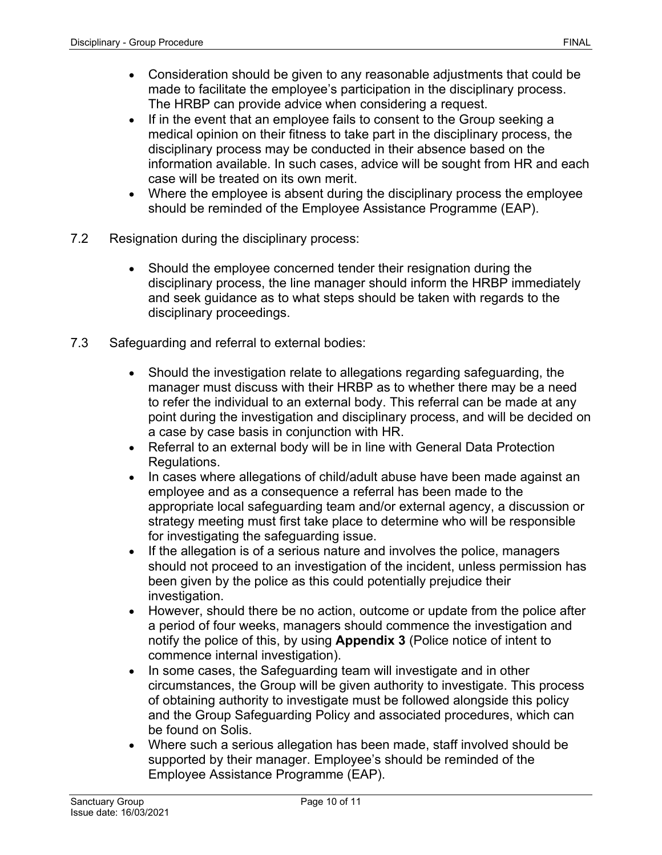- Consideration should be given to any reasonable adjustments that could be made to facilitate the employee's participation in the disciplinary process. The HRBP can provide advice when considering a request.
- If in the event that an employee fails to consent to the Group seeking a medical opinion on their fitness to take part in the disciplinary process, the disciplinary process may be conducted in their absence based on the information available. In such cases, advice will be sought from HR and each case will be treated on its own merit.
- Where the employee is absent during the disciplinary process the employee should be reminded of the Employee Assistance Programme (EAP).
- 7.2 Resignation during the disciplinary process:
	- Should the employee concerned tender their resignation during the disciplinary process, the line manager should inform the HRBP immediately and seek guidance as to what steps should be taken with regards to the disciplinary proceedings.
- 7.3 Safeguarding and referral to external bodies:
	- Should the investigation relate to allegations regarding safeguarding, the manager must discuss with their HRBP as to whether there may be a need to refer the individual to an external body. This referral can be made at any point during the investigation and disciplinary process, and will be decided on a case by case basis in conjunction with HR.
	- Referral to an external body will be in line with General Data Protection Regulations.
	- In cases where allegations of child/adult abuse have been made against an employee and as a consequence a referral has been made to the appropriate local safeguarding team and/or external agency, a discussion or strategy meeting must first take place to determine who will be responsible for investigating the safeguarding issue.
	- If the allegation is of a serious nature and involves the police, managers should not proceed to an investigation of the incident, unless permission has been given by the police as this could potentially prejudice their investigation.
	- However, should there be no action, outcome or update from the police after a period of four weeks, managers should commence the investigation and notify the police of this, by using **Appendix 3** (Police notice of intent to commence internal investigation).
	- In some cases, the Safeguarding team will investigate and in other circumstances, the Group will be given authority to investigate. This process of obtaining authority to investigate must be followed alongside this policy and the [Group Safeguarding](https://solis/PolicyManagement/policy/Policies/Forms/Policy%20Document%20Set/docsethomepage.aspx?ID=3860&FolderCTID=0x0120D52000DE99EA054D4DF944BE591D81E49729D0008C670BDB86BED740B0B89E295CD8357C&List=a03723e1-d48b-4958-9669-9b86a90ef8b0&RootFolder=%2FPolicyManagement%2Fpolicy%2FPolicies%2FSafeguarding%20Adults%20%2D%20Group&RecSrc=%2FPolicyManagement%2Fpolicy%2FPolicies%2FSafeguarding%20Adults%20%2D%20Group) Policy and associated procedures, which can be found on Solis.
	- Where such a serious allegation has been made, staff involved should be supported by their manager. Employee's should be reminded of the Employee Assistance Programme (EAP).